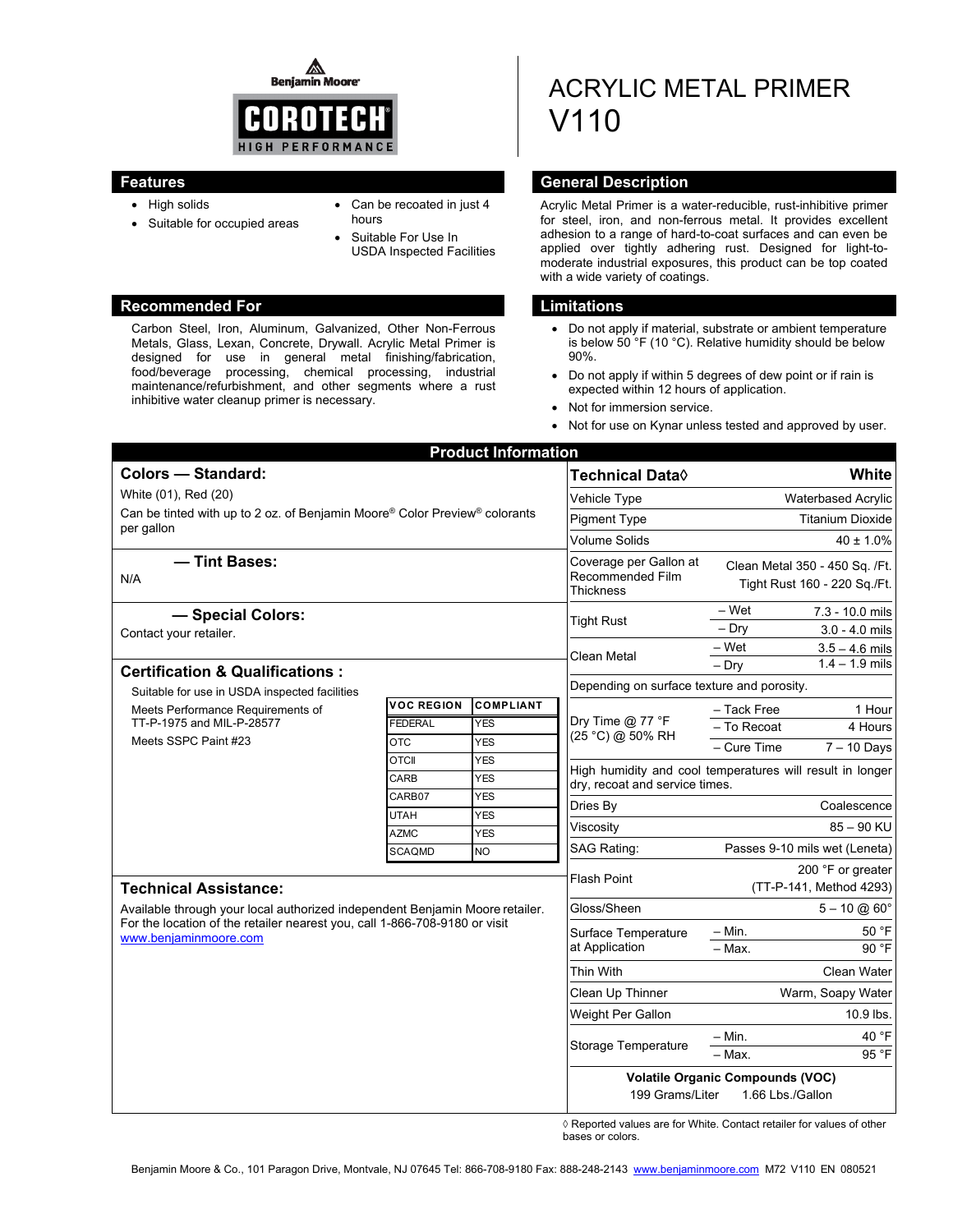◬ **Benjamin Moore** 



- High solids
- Suitable for occupied areas
- Can be recoated in just 4 hours
- Suitable For Use In USDA Inspected Facilities

#### **Recommended For Limitations and Limitations**

Carbon Steel, Iron, Aluminum, Galvanized, Other Non-Ferrous Metals, Glass, Lexan, Concrete, Drywall. Acrylic Metal Primer is designed for use in general metal finishing/fabrication, food/beverage processing, chemical processing, industrial maintenance/refurbishment, and other segments where a rust inhibitive water cleanup primer is necessary.

# ACRYLIC METAL PRIMER V110

### **Features General Description**

Acrylic Metal Primer is a water-reducible, rust-inhibitive primer for steel, iron, and non-ferrous metal. It provides excellent adhesion to a range of hard-to-coat surfaces and can even be applied over tightly adhering rust. Designed for light-tomoderate industrial exposures, this product can be top coated with a wide variety of coatings.

- Do not apply if material, substrate or ambient temperature is below 50 °F (10 °C). Relative humidity should be below 90%.
- Do not apply if within 5 degrees of dew point or if rain is expected within 12 hours of application.
- Not for immersion service.
- Not for use on Kynar unless tested and approved by user.

| <b>Product Information</b>                                                                                                                                                          |                            |                                              |                                                                |                                                                                             |                                |  |
|-------------------------------------------------------------------------------------------------------------------------------------------------------------------------------------|----------------------------|----------------------------------------------|----------------------------------------------------------------|---------------------------------------------------------------------------------------------|--------------------------------|--|
| <b>Colors - Standard:</b>                                                                                                                                                           |                            |                                              | <b>Technical Data</b> ♦                                        | <b>White</b>                                                                                |                                |  |
| White (01), Red (20)<br>Can be tinted with up to 2 oz. of Benjamin Moore® Color Preview® colorants<br>per gallon                                                                    |                            |                                              | Vehicle Type                                                   | Waterbased Acrylic                                                                          |                                |  |
|                                                                                                                                                                                     |                            |                                              | <b>Pigment Type</b>                                            | <b>Titanium Dioxide</b>                                                                     |                                |  |
|                                                                                                                                                                                     |                            |                                              | <b>Volume Solids</b>                                           | $40 \pm 1.0\%$                                                                              |                                |  |
| - Tint Bases:<br>N/A                                                                                                                                                                |                            |                                              | Coverage per Gallon at<br>Recommended Film<br><b>Thickness</b> | Clean Metal 350 - 450 Sq. /Ft.<br>Tight Rust 160 - 220 Sq./Ft.                              |                                |  |
| - Special Colors:                                                                                                                                                                   |                            |                                              |                                                                | – Wet                                                                                       | 7.3 - 10.0 mils                |  |
| Contact your retailer.                                                                                                                                                              |                            |                                              | <b>Tight Rust</b>                                              | $-$ Dry                                                                                     | $3.0 - 4.0$ mils               |  |
|                                                                                                                                                                                     |                            |                                              | Clean Metal                                                    | $-Wet$                                                                                      | $3.5 - 4.6$ mils               |  |
| <b>Certification &amp; Qualifications:</b>                                                                                                                                          |                            |                                              |                                                                | – Dry                                                                                       | $1.4 - 1.9$ mils               |  |
| Suitable for use in USDA inspected facilities                                                                                                                                       |                            |                                              |                                                                | Depending on surface texture and porosity.                                                  |                                |  |
| Meets Performance Requirements of                                                                                                                                                   | <b>VOC REGION</b>          | <b>COMPLIANT</b>                             |                                                                | - Tack Free                                                                                 | 1 Hour                         |  |
| TT-P-1975 and MIL-P-28577                                                                                                                                                           | <b>FEDERAL</b>             | <b>YES</b>                                   | Dry Time $@$ 77 °F<br>(25 °C) @ 50% RH                         | - To Recoat                                                                                 | 4 Hours                        |  |
| Meets SSPC Paint #23                                                                                                                                                                | <b>OTC</b><br><b>OTCII</b> | <b>YES</b><br><b>YES</b>                     |                                                                | - Cure Time                                                                                 | $7 - 10$ Days                  |  |
|                                                                                                                                                                                     | CARB                       | <b>YES</b>                                   |                                                                | High humidity and cool temperatures will result in longer<br>dry, recoat and service times. |                                |  |
|                                                                                                                                                                                     | CARB07                     | <b>YES</b>                                   |                                                                |                                                                                             |                                |  |
|                                                                                                                                                                                     | <b>UTAH</b>                | <b>YES</b>                                   | Dries By                                                       |                                                                                             | Coalescence                    |  |
|                                                                                                                                                                                     | <b>AZMC</b>                | <b>YES</b>                                   | Viscosity                                                      | 85 - 90 KU<br>Passes 9-10 mils wet (Leneta)                                                 |                                |  |
|                                                                                                                                                                                     | <b>SCAQMD</b>              | <b>NO</b>                                    | <b>SAG Rating:</b>                                             |                                                                                             |                                |  |
| <b>Technical Assistance:</b>                                                                                                                                                        | <b>Flash Point</b>         | 200 °F or greater<br>(TT-P-141, Method 4293) |                                                                |                                                                                             |                                |  |
| Available through your local authorized independent Benjamin Moore retailer.<br>For the location of the retailer nearest you, call 1-866-708-9180 or visit<br>www.benjaminmoore.com |                            |                                              | Gloss/Sheen                                                    |                                                                                             | $5 - 10 \text{ } @ 60^{\circ}$ |  |
|                                                                                                                                                                                     |                            |                                              | Surface Temperature<br>at Application                          | $-$ Min.                                                                                    | 50 °F                          |  |
|                                                                                                                                                                                     |                            |                                              |                                                                | - Max.                                                                                      | 90 °F                          |  |
|                                                                                                                                                                                     |                            |                                              | Thin With                                                      |                                                                                             | <b>Clean Water</b>             |  |
|                                                                                                                                                                                     |                            |                                              | Clean Up Thinner                                               | Warm, Soapy Water                                                                           |                                |  |
|                                                                                                                                                                                     |                            |                                              | Weight Per Gallon                                              | 10.9 lbs.                                                                                   |                                |  |
|                                                                                                                                                                                     |                            |                                              | Storage Temperature                                            | $-$ Min.                                                                                    | 40 °F                          |  |
|                                                                                                                                                                                     |                            |                                              |                                                                | - Max.                                                                                      | 95 °F                          |  |
|                                                                                                                                                                                     |                            |                                              | 199 Grams/Liter                                                | <b>Volatile Organic Compounds (VOC)</b><br>1.66 Lbs./Gallon                                 |                                |  |

◊ Reported values are for White. Contact retailer for values of other bases or colors.